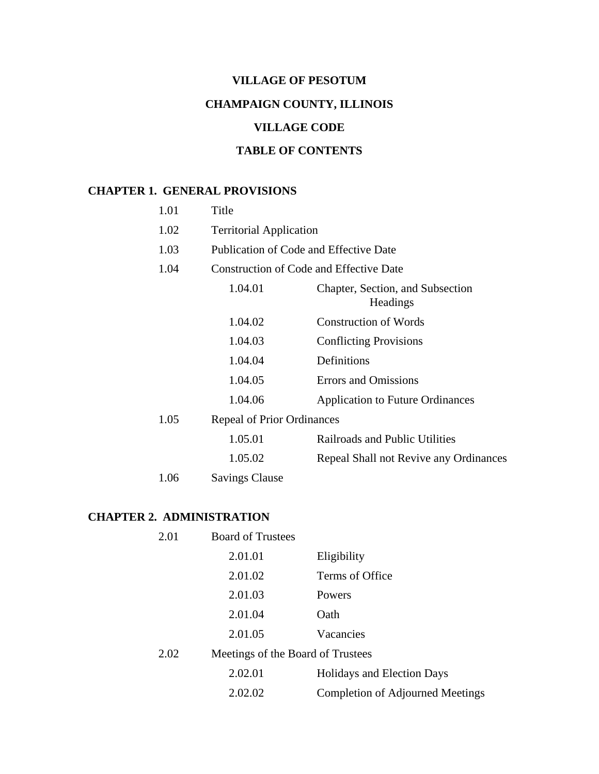# **VILLAGE OF PESOTUM CHAMPAIGN COUNTY, ILLINOIS**

# **VILLAGE CODE**

# **TABLE OF CONTENTS**

# **CHAPTER 1. GENERAL PROVISIONS**

| 1.01 | Title                                   |                                              |
|------|-----------------------------------------|----------------------------------------------|
| 1.02 | <b>Territorial Application</b>          |                                              |
| 1.03 | Publication of Code and Effective Date  |                                              |
| 1.04 | Construction of Code and Effective Date |                                              |
|      | 1.04.01                                 | Chapter, Section, and Subsection<br>Headings |
|      | 1.04.02                                 | <b>Construction of Words</b>                 |
|      | 1.04.03                                 | <b>Conflicting Provisions</b>                |
|      | 1.04.04                                 | Definitions                                  |
|      | 1.04.05                                 | <b>Errors and Omissions</b>                  |
|      | 1.04.06                                 | <b>Application to Future Ordinances</b>      |
| 1.05 | <b>Repeal of Prior Ordinances</b>       |                                              |
|      | 1.05.01                                 | Railroads and Public Utilities               |
|      | 1.05.02                                 | Repeal Shall not Revive any Ordinances       |
| 1.06 | <b>Savings Clause</b>                   |                                              |

# **CHAPTER 2. ADMINISTRATION**

| 2.01 | <b>Board of Trustees</b>          |                                   |
|------|-----------------------------------|-----------------------------------|
|      | 2.01.01                           | Eligibility                       |
|      | 2.01.02                           | Terms of Office                   |
|      | 2.01.03                           | Powers                            |
|      | 2.01.04                           | Oath                              |
|      | 2.01.05                           | Vacancies                         |
| 2.02 | Meetings of the Board of Trustees |                                   |
|      | 2.02.01                           | <b>Holidays and Election Days</b> |
|      | 2.02.02                           | Completion of Adjourned Meetings  |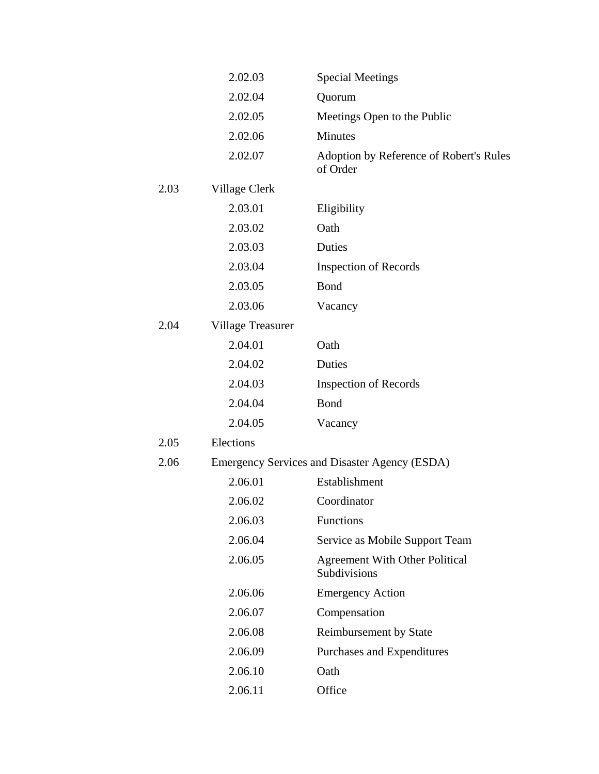|      | 2.02.03                  | <b>Special Meetings</b>                               |
|------|--------------------------|-------------------------------------------------------|
|      | 2.02.04                  | Quorum                                                |
|      | 2.02.05                  | Meetings Open to the Public                           |
|      | 2.02.06                  | Minutes                                               |
|      | 2.02.07                  | Adoption by Reference of Robert's Rules<br>of Order   |
| 2.03 | Village Clerk            |                                                       |
|      | 2.03.01                  | Eligibility                                           |
|      | 2.03.02                  | Oath                                                  |
|      | 2.03.03                  | Duties                                                |
|      | 2.03.04                  | <b>Inspection of Records</b>                          |
|      | 2.03.05                  | Bond                                                  |
|      | 2.03.06                  | Vacancy                                               |
| 2.04 | <b>Village Treasurer</b> |                                                       |
|      | 2.04.01                  | Oath                                                  |
|      | 2.04.02                  | Duties                                                |
|      | 2.04.03                  | <b>Inspection of Records</b>                          |
|      | 2.04.04                  | Bond                                                  |
|      | 2.04.05                  | Vacancy                                               |
| 2.05 | Elections                |                                                       |
| 2.06 |                          | <b>Emergency Services and Disaster Agency (ESDA)</b>  |
|      | 2.06.01                  | Establishment                                         |
|      | 2.06.02                  | Coordinator                                           |
|      | 2.06.03                  | Functions                                             |
|      | 2.06.04                  | Service as Mobile Support Team                        |
|      | 2.06.05                  | <b>Agreement With Other Political</b><br>Subdivisions |
|      | 2.06.06                  | <b>Emergency Action</b>                               |
|      | 2.06.07                  | Compensation                                          |
|      | 2.06.08                  | <b>Reimbursement by State</b>                         |
|      | 2.06.09                  | Purchases and Expenditures                            |
|      | 2.06.10                  | Oath                                                  |
|      | 2.06.11                  | Office                                                |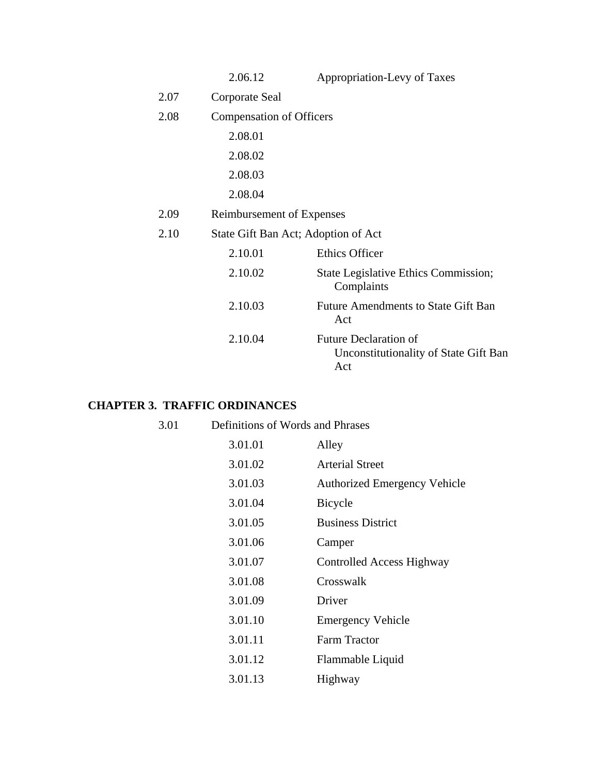|      | 2.06.12                             | Appropriation-Levy of Taxes                                                  |
|------|-------------------------------------|------------------------------------------------------------------------------|
| 2.07 | Corporate Seal                      |                                                                              |
| 2.08 | <b>Compensation of Officers</b>     |                                                                              |
|      | 2.08.01                             |                                                                              |
|      | 2.08.02                             |                                                                              |
|      | 2.08.03                             |                                                                              |
|      | 2.08.04                             |                                                                              |
| 2.09 | Reimbursement of Expenses           |                                                                              |
| 2.10 | State Gift Ban Act; Adoption of Act |                                                                              |
|      | 2.10.01                             | <b>Ethics Officer</b>                                                        |
|      | 2.10.02                             | State Legislative Ethics Commission;<br>Complaints                           |
|      | 2.10.03                             | Future Amendments to State Gift Ban<br>Act                                   |
|      | 2.10.04                             | <b>Future Declaration of</b><br>Unconstitutionality of State Gift Ban<br>Act |

# **CHAPTER 3. TRAFFIC ORDINANCES**

| 3.01 | Definitions of Words and Phrases |                                     |
|------|----------------------------------|-------------------------------------|
|      | 3.01.01                          | Alley                               |
|      | 3.01.02                          | <b>Arterial Street</b>              |
|      | 3.01.03                          | <b>Authorized Emergency Vehicle</b> |
|      | 3.01.04                          | Bicycle                             |
|      | 3.01.05                          | <b>Business District</b>            |
|      | 3.01.06                          | Camper                              |
|      | 3.01.07                          | Controlled Access Highway           |
|      | 3.01.08                          | Crosswalk                           |
|      | 3.01.09                          | Driver                              |
|      | 3.01.10                          | <b>Emergency Vehicle</b>            |
|      | 3.01.11                          | <b>Farm Tractor</b>                 |
|      | 3.01.12                          | Flammable Liquid                    |
|      | 3.01.13                          | Highway                             |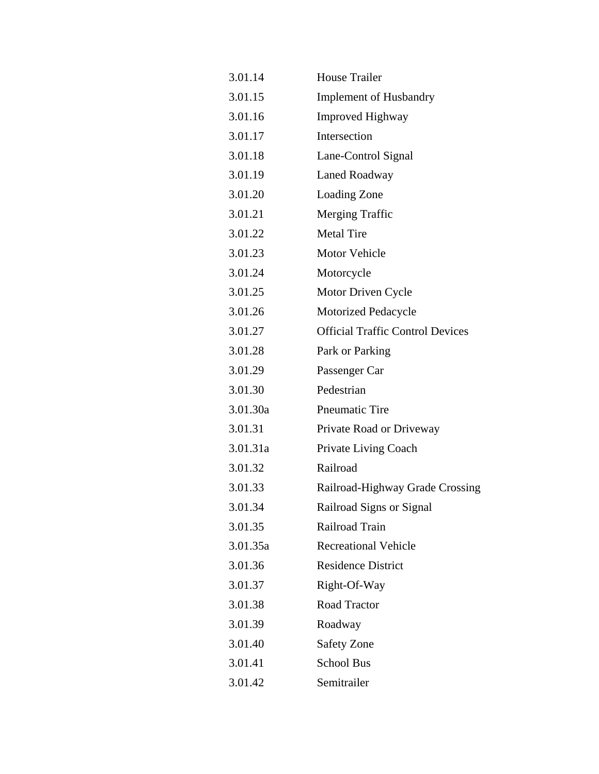| 3.01.14  | <b>House Trailer</b>                    |
|----------|-----------------------------------------|
| 3.01.15  | <b>Implement of Husbandry</b>           |
| 3.01.16  | <b>Improved Highway</b>                 |
| 3.01.17  | Intersection                            |
| 3.01.18  | Lane-Control Signal                     |
| 3.01.19  | Laned Roadway                           |
| 3.01.20  | Loading Zone                            |
| 3.01.21  | Merging Traffic                         |
| 3.01.22  | <b>Metal Tire</b>                       |
| 3.01.23  | Motor Vehicle                           |
| 3.01.24  | Motorcycle                              |
| 3.01.25  | Motor Driven Cycle                      |
| 3.01.26  | <b>Motorized Pedacycle</b>              |
| 3.01.27  | <b>Official Traffic Control Devices</b> |
| 3.01.28  | Park or Parking                         |
| 3.01.29  | Passenger Car                           |
| 3.01.30  | Pedestrian                              |
| 3.01.30a | Pneumatic Tire                          |
| 3.01.31  | Private Road or Driveway                |
| 3.01.31a | Private Living Coach                    |
| 3.01.32  | Railroad                                |
| 3.01.33  | Railroad-Highway Grade Crossing         |
| 3.01.34  | Railroad Signs or Signal                |
| 3.01.35  | Railroad Train                          |
| 3.01.35a | <b>Recreational Vehicle</b>             |
| 3.01.36  | <b>Residence District</b>               |
| 3.01.37  | Right-Of-Way                            |
| 3.01.38  | Road Tractor                            |
| 3.01.39  | Roadway                                 |
| 3.01.40  | <b>Safety Zone</b>                      |
| 3.01.41  | <b>School Bus</b>                       |
| 3.01.42  | Semitrailer                             |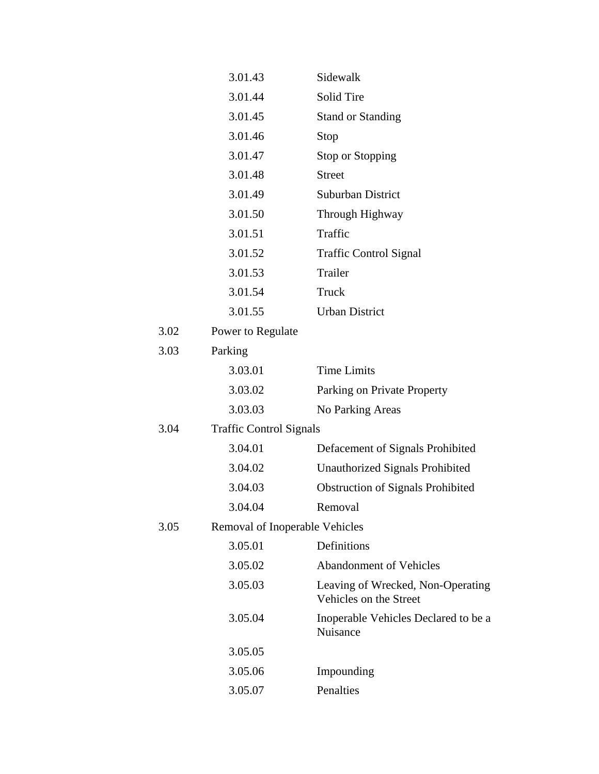|      | 3.01.43                        | Sidewalk                                                    |
|------|--------------------------------|-------------------------------------------------------------|
|      | 3.01.44                        | Solid Tire                                                  |
|      | 3.01.45                        | <b>Stand or Standing</b>                                    |
|      | 3.01.46                        | Stop                                                        |
|      | 3.01.47                        | Stop or Stopping                                            |
|      | 3.01.48                        | <b>Street</b>                                               |
|      | 3.01.49                        | Suburban District                                           |
|      | 3.01.50                        | Through Highway                                             |
|      | 3.01.51                        | Traffic                                                     |
|      | 3.01.52                        | <b>Traffic Control Signal</b>                               |
|      | 3.01.53                        | Trailer                                                     |
|      | 3.01.54                        | Truck                                                       |
|      | 3.01.55                        | <b>Urban District</b>                                       |
| 3.02 | Power to Regulate              |                                                             |
| 3.03 | Parking                        |                                                             |
|      | 3.03.01                        | <b>Time Limits</b>                                          |
|      | 3.03.02                        | Parking on Private Property                                 |
|      | 3.03.03                        | No Parking Areas                                            |
| 3.04 | <b>Traffic Control Signals</b> |                                                             |
|      | 3.04.01                        | Defacement of Signals Prohibited                            |
|      | 3.04.02                        | Unauthorized Signals Prohibited                             |
|      | 3.04.03                        | <b>Obstruction of Signals Prohibited</b>                    |
|      | 3.04.04                        | Removal                                                     |
| 3.05 | Removal of Inoperable Vehicles |                                                             |
|      | 3.05.01                        | Definitions                                                 |
|      | 3.05.02                        | <b>Abandonment of Vehicles</b>                              |
|      | 3.05.03                        | Leaving of Wrecked, Non-Operating<br>Vehicles on the Street |
|      | 3.05.04                        | Inoperable Vehicles Declared to be a<br>Nuisance            |
|      | 3.05.05                        |                                                             |
|      | 3.05.06                        | Impounding                                                  |
|      | 3.05.07                        | Penalties                                                   |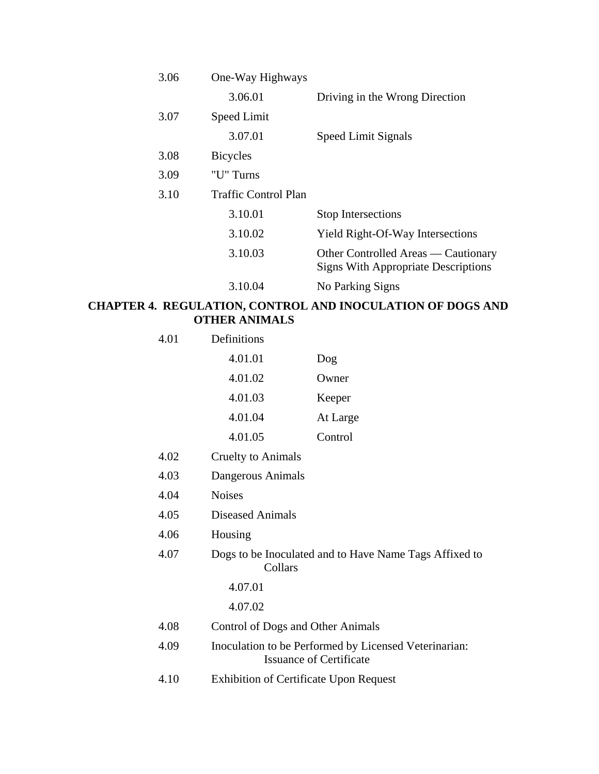| 3.06 | One-Way Highways     |                                                                                   |
|------|----------------------|-----------------------------------------------------------------------------------|
|      | 3.06.01              | Driving in the Wrong Direction                                                    |
| 3.07 | Speed Limit          |                                                                                   |
|      | 3.07.01              | Speed Limit Signals                                                               |
| 3.08 | <b>Bicycles</b>      |                                                                                   |
| 3.09 | "U" Turns            |                                                                                   |
| 3.10 | Traffic Control Plan |                                                                                   |
|      | 3.10.01              | <b>Stop Intersections</b>                                                         |
|      | 3.10.02              | <b>Yield Right-Of-Way Intersections</b>                                           |
|      | 3.10.03              | Other Controlled Areas — Cautionary<br><b>Signs With Appropriate Descriptions</b> |
|      | 3.10.04              | No Parking Signs                                                                  |

# **CHAPTER 4. REGULATION, CONTROL AND INOCULATION OF DOGS AND OTHER ANIMALS**

| Definitions                                   |                                                                                         |
|-----------------------------------------------|-----------------------------------------------------------------------------------------|
| 4.01.01                                       | $\log$                                                                                  |
| 4.01.02                                       | Owner                                                                                   |
| 4.01.03                                       | Keeper                                                                                  |
| 4.01.04                                       | At Large                                                                                |
| 4.01.05                                       | Control                                                                                 |
| <b>Cruelty to Animals</b>                     |                                                                                         |
| Dangerous Animals                             |                                                                                         |
| <b>Noises</b>                                 |                                                                                         |
| <b>Diseased Animals</b>                       |                                                                                         |
| Housing                                       |                                                                                         |
| Collars                                       | Dogs to be Inoculated and to Have Name Tags Affixed to                                  |
| 4.07.01                                       |                                                                                         |
| 4.07.02                                       |                                                                                         |
| Control of Dogs and Other Animals             |                                                                                         |
|                                               | Inoculation to be Performed by Licensed Veterinarian:<br><b>Issuance of Certificate</b> |
| <b>Exhibition of Certificate Upon Request</b> |                                                                                         |
|                                               |                                                                                         |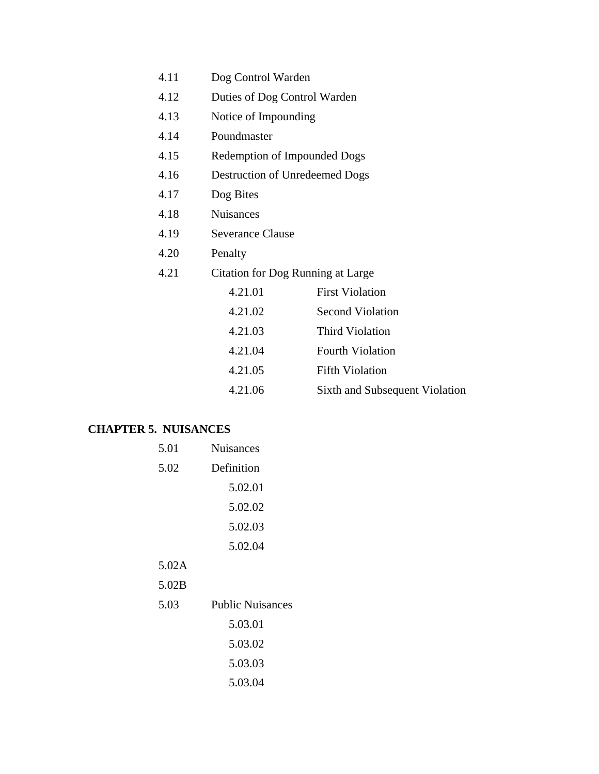| 4.11 | Dog Control Warden |  |
|------|--------------------|--|
|------|--------------------|--|

- 4.12 Duties of Dog Control Warden
- 4.13 Notice of Impounding
- 4.14 Poundmaster
- 4.15 Redemption of Impounded Dogs
- 4.16 Destruction of Unredeemed Dogs
- 4.17 Dog Bites
- 4.18 Nuisances
- 4.19 Severance Clause
- 4.20 Penalty
- 4.21 Citation for Dog Running at Large

| 4.21.01 | <b>First Violation</b>         |
|---------|--------------------------------|
| 4.21.02 | <b>Second Violation</b>        |
| 4.21.03 | Third Violation                |
| 4.21.04 | <b>Fourth Violation</b>        |
| 4.21.05 | <b>Fifth Violation</b>         |
| 4.21.06 | Sixth and Subsequent Violation |

#### **CHAPTER 5. NUISANCES**

| 5.01  | <b>Nuisances</b>        |  |
|-------|-------------------------|--|
| 5.02  | Definition              |  |
|       | 5.02.01                 |  |
|       | 5.02.02                 |  |
|       | 5.02.03                 |  |
|       | 5.02.04                 |  |
| 5.02A |                         |  |
| 5.02B |                         |  |
| 5.03  | <b>Public Nuisances</b> |  |
|       | 5.03.01                 |  |
|       | 5.03.02                 |  |
|       | 5.03.03                 |  |
|       | 5.03.04                 |  |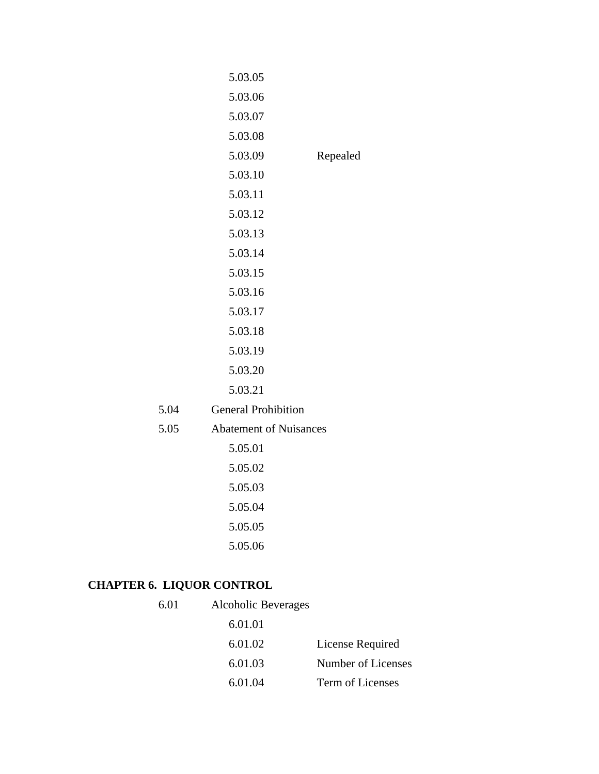|      | 5.03.05                       |          |
|------|-------------------------------|----------|
|      | 5.03.06                       |          |
|      | 5.03.07                       |          |
|      | 5.03.08                       |          |
|      | 5.03.09                       | Repealed |
|      | 5.03.10                       |          |
|      | 5.03.11                       |          |
|      | 5.03.12                       |          |
|      | 5.03.13                       |          |
|      | 5.03.14                       |          |
|      | 5.03.15                       |          |
|      | 5.03.16                       |          |
|      | 5.03.17                       |          |
|      | 5.03.18                       |          |
|      | 5.03.19                       |          |
|      | 5.03.20                       |          |
|      | 5.03.21                       |          |
| 5.04 | <b>General Prohibition</b>    |          |
| 5.05 | <b>Abatement of Nuisances</b> |          |
|      | 5.05.01                       |          |
|      | 5.05.02                       |          |
|      | 5.05.03                       |          |
|      | 5.05.04                       |          |
|      | 5.05.05                       |          |
|      | 5.05.06                       |          |
|      |                               |          |

# **CHAPTER 6. LIQUOR CONTROL**

5.04  $5.05$ 

| 6.01 | Alcoholic Beverages |                    |
|------|---------------------|--------------------|
|      | 6.01.01             |                    |
|      | 6.01.02             | License Required   |
|      | 6.01.03             | Number of Licenses |
|      | 6.01.04             | Term of Licenses   |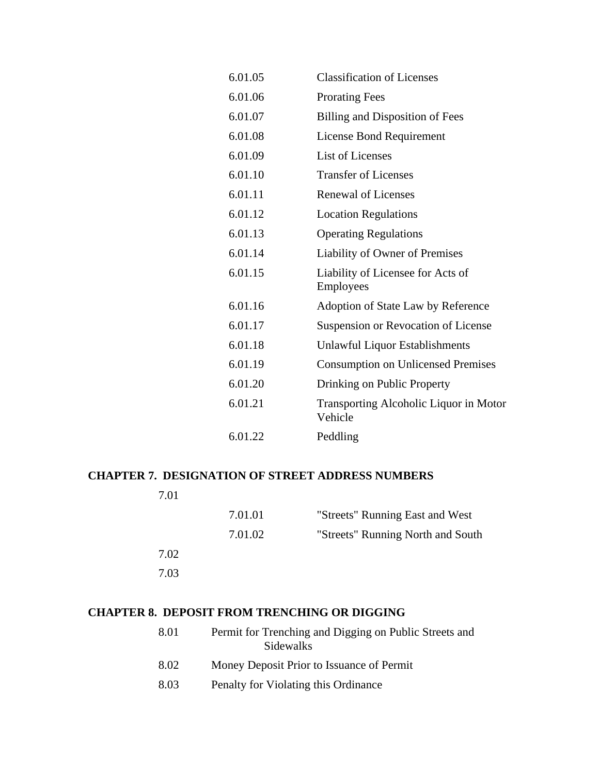| 6.01.05 | <b>Classification of Licenses</b>                 |
|---------|---------------------------------------------------|
| 6.01.06 | <b>Prorating Fees</b>                             |
| 6.01.07 | <b>Billing and Disposition of Fees</b>            |
| 6.01.08 | License Bond Requirement                          |
| 6.01.09 | List of Licenses                                  |
| 6.01.10 | <b>Transfer of Licenses</b>                       |
| 6.01.11 | <b>Renewal of Licenses</b>                        |
| 6.01.12 | <b>Location Regulations</b>                       |
| 6.01.13 | <b>Operating Regulations</b>                      |
| 6.01.14 | Liability of Owner of Premises                    |
| 6.01.15 | Liability of Licensee for Acts of<br>Employees    |
| 6.01.16 | Adoption of State Law by Reference                |
| 6.01.17 | Suspension or Revocation of License               |
| 6.01.18 | Unlawful Liquor Establishments                    |
| 6.01.19 | <b>Consumption on Unlicensed Premises</b>         |
| 6.01.20 | Drinking on Public Property                       |
| 6.01.21 | Transporting Alcoholic Liquor in Motor<br>Vehicle |
| 6.01.22 | Peddling                                          |

## **CHAPTER 7. DESIGNATION OF STREET ADDRESS NUMBERS**

| 7.01 |         |                                   |
|------|---------|-----------------------------------|
|      | 7.01.01 | "Streets" Running East and West   |
|      | 7.01.02 | "Streets" Running North and South |
| 7.02 |         |                                   |
| 7.03 |         |                                   |
|      |         |                                   |

# **CHAPTER 8. DEPOSIT FROM TRENCHING OR DIGGING**

| 8.01 | Permit for Trenching and Digging on Public Streets and<br>Sidewalks |
|------|---------------------------------------------------------------------|
| 8.02 | Money Deposit Prior to Issuance of Permit                           |
| 8.03 | Penalty for Violating this Ordinance                                |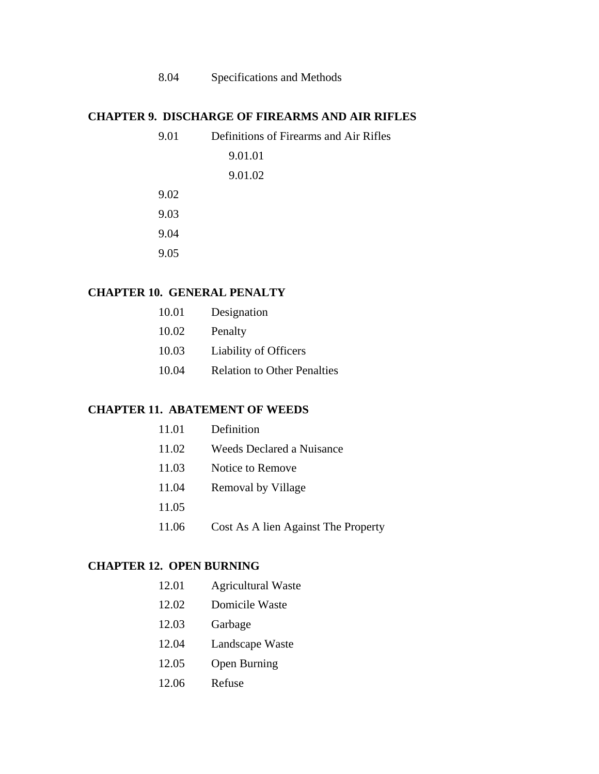# 8.04 Specifications and Methods

#### **CHAPTER 9. DISCHARGE OF FIREARMS AND AIR RIFLES**

| 9.01 | Definitions of Firearms and Air Rifles |
|------|----------------------------------------|
|      | 9.01.01                                |
|      | 9.01.02                                |
| 9.02 |                                        |
| 9.03 |                                        |
| 9.04 |                                        |
| 9.05 |                                        |

#### **CHAPTER 10. GENERAL PENALTY**

| 10.01 | Designation                        |
|-------|------------------------------------|
| 10.02 | Penalty                            |
| 10.03 | <b>Liability of Officers</b>       |
| 10.04 | <b>Relation to Other Penalties</b> |

#### **CHAPTER 11. ABATEMENT OF WEEDS**

| 11.01 | Definition                          |
|-------|-------------------------------------|
| 11.02 | Weeds Declared a Nuisance           |
| 11.03 | Notice to Remove                    |
| 11.04 | Removal by Village                  |
| 11.05 |                                     |
| 11.06 | Cost As A lien Against The Property |

#### **CHAPTER 12. OPEN BURNING**

| 12.01 | <b>Agricultural Waste</b> |  |
|-------|---------------------------|--|
|-------|---------------------------|--|

- 12.02 Domicile Waste
- 12.03 Garbage
- 12.04 Landscape Waste
- 12.05 Open Burning
- 12.06 Refuse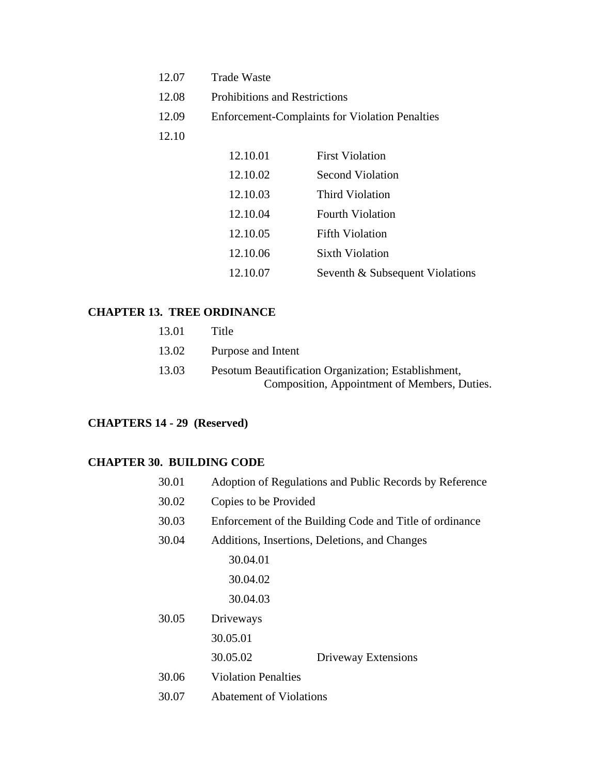| 12.07 | <b>Trade Waste</b>                   |                                                       |
|-------|--------------------------------------|-------------------------------------------------------|
| 12.08 | <b>Prohibitions and Restrictions</b> |                                                       |
| 12.09 |                                      | <b>Enforcement-Complaints for Violation Penalties</b> |
| 12.10 |                                      |                                                       |
|       | 12.10.01                             | <b>First Violation</b>                                |
|       | 12 10 O2                             | Second Violation                                      |

| 12.10.02 | <b>Second Violation</b>         |
|----------|---------------------------------|
| 12.10.03 | Third Violation                 |
| 12.10.04 | <b>Fourth Violation</b>         |
| 12.10.05 | <b>Fifth Violation</b>          |
| 12.10.06 | <b>Sixth Violation</b>          |
| 12.10.07 | Seventh & Subsequent Violations |

# **CHAPTER 13. TREE ORDINANCE**

| 13.01 | Title                                               |
|-------|-----------------------------------------------------|
| 13.02 | Purpose and Intent                                  |
| 13.03 | Pesotum Beautification Organization; Establishment, |
|       | Composition, Appointment of Members, Duties.        |

# **CHAPTERS 14 - 29 (Reserved)**

#### **CHAPTER 30. BUILDING CODE**

| 30.01 |                                | Adoption of Regulations and Public Records by Reference |
|-------|--------------------------------|---------------------------------------------------------|
| 30.02 | Copies to be Provided          |                                                         |
| 30.03 |                                | Enforcement of the Building Code and Title of ordinance |
| 30.04 |                                | Additions, Insertions, Deletions, and Changes           |
|       | 30.04.01                       |                                                         |
|       | 30.04.02                       |                                                         |
|       | 30.04.03                       |                                                         |
| 30.05 | Driveways                      |                                                         |
|       | 30.05.01                       |                                                         |
|       | 30.05.02                       | Driveway Extensions                                     |
| 30.06 | <b>Violation Penalties</b>     |                                                         |
| 30.07 | <b>Abatement of Violations</b> |                                                         |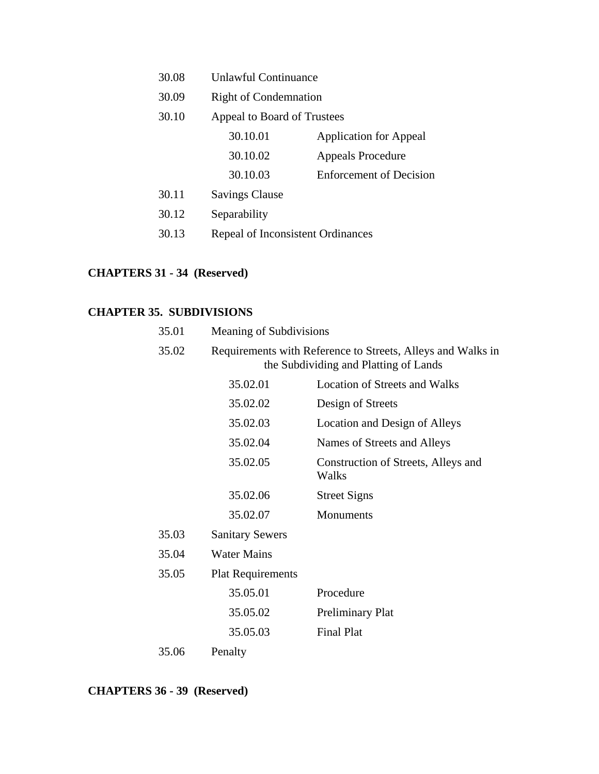| 30.08 | <b>Unlawful Continuance</b>       |                                |
|-------|-----------------------------------|--------------------------------|
| 30.09 | <b>Right of Condemnation</b>      |                                |
| 30.10 | Appeal to Board of Trustees       |                                |
|       | 30.10.01                          | <b>Application for Appeal</b>  |
|       | 30.10.02                          | <b>Appeals Procedure</b>       |
|       | 30.10.03                          | <b>Enforcement of Decision</b> |
| 30.11 | <b>Savings Clause</b>             |                                |
| 30.12 | Separability                      |                                |
| 30.13 | Repeal of Inconsistent Ordinances |                                |
|       |                                   |                                |

# **CHAPTERS 31 - 34 (Reserved)**

# **CHAPTER 35. SUBDIVISIONS**

| 35.01 | Meaning of Subdivisions  |                                                                                                      |
|-------|--------------------------|------------------------------------------------------------------------------------------------------|
| 35.02 |                          | Requirements with Reference to Streets, Alleys and Walks in<br>the Subdividing and Platting of Lands |
|       | 35.02.01                 | <b>Location of Streets and Walks</b>                                                                 |
|       | 35.02.02                 | Design of Streets                                                                                    |
|       | 35.02.03                 | Location and Design of Alleys                                                                        |
|       | 35.02.04                 | Names of Streets and Alleys                                                                          |
|       | 35.02.05                 | Construction of Streets, Alleys and<br>Walks                                                         |
|       | 35.02.06                 | <b>Street Signs</b>                                                                                  |
|       | 35.02.07                 | Monuments                                                                                            |
| 35.03 | <b>Sanitary Sewers</b>   |                                                                                                      |
| 35.04 | <b>Water Mains</b>       |                                                                                                      |
| 35.05 | <b>Plat Requirements</b> |                                                                                                      |
|       | 35.05.01                 | Procedure                                                                                            |
|       | 35.05.02                 | <b>Preliminary Plat</b>                                                                              |
|       | 35.05.03                 | <b>Final Plat</b>                                                                                    |
| 35.06 | Penalty                  |                                                                                                      |

**CHAPTERS 36 - 39 (Reserved)**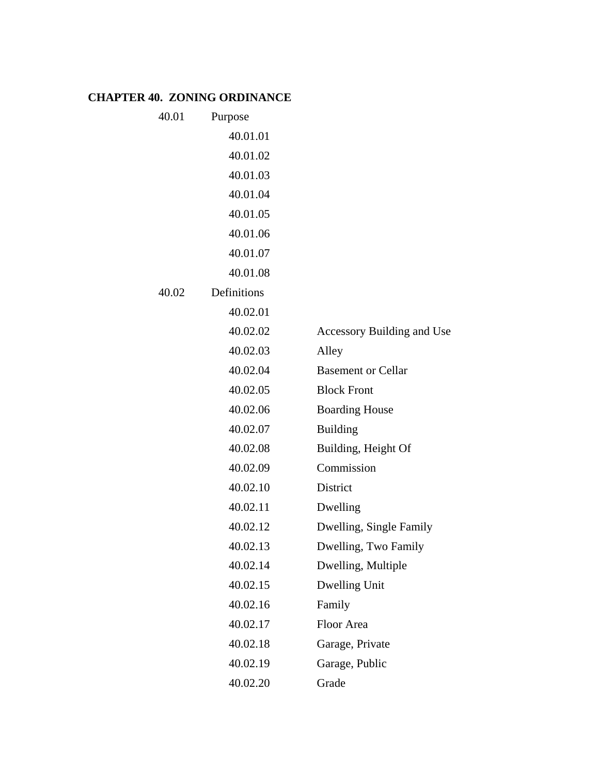# **CHAPTER 40. ZONING ORDINANCE**

| 40.01 | Purpose     |                            |
|-------|-------------|----------------------------|
|       | 40.01.01    |                            |
|       | 40.01.02    |                            |
|       | 40.01.03    |                            |
|       | 40.01.04    |                            |
|       | 40.01.05    |                            |
|       | 40.01.06    |                            |
|       | 40.01.07    |                            |
|       | 40.01.08    |                            |
| 40.02 | Definitions |                            |
|       | 40.02.01    |                            |
|       | 40.02.02    | Accessory Building and Use |
|       | 40.02.03    | Alley                      |
|       | 40.02.04    | <b>Basement or Cellar</b>  |
|       | 40.02.05    | <b>Block Front</b>         |
|       | 40.02.06    | <b>Boarding House</b>      |
|       | 40.02.07    | <b>Building</b>            |
|       | 40.02.08    | Building, Height Of        |
|       | 40.02.09    | Commission                 |
|       | 40.02.10    | District                   |
|       | 40.02.11    | Dwelling                   |
|       | 40.02.12    | Dwelling, Single Family    |
|       | 40.02.13    | Dwelling, Two Family       |
|       | 40.02.14    | Dwelling, Multiple         |
|       | 40.02.15    | Dwelling Unit              |
|       | 40.02.16    | Family                     |
|       | 40.02.17    | Floor Area                 |
|       | 40.02.18    | Garage, Private            |
|       | 40.02.19    | Garage, Public             |
|       | 40.02.20    | Grade                      |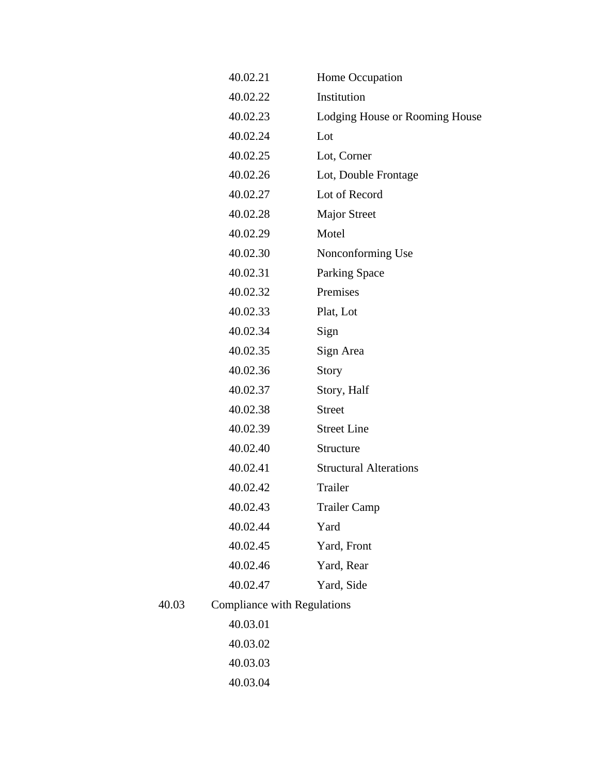|       | 40.02.21                           | Home Occupation                |
|-------|------------------------------------|--------------------------------|
|       | 40.02.22                           | Institution                    |
|       | 40.02.23                           | Lodging House or Rooming House |
|       | 40.02.24                           | Lot                            |
|       | 40.02.25                           | Lot, Corner                    |
|       | 40.02.26                           | Lot, Double Frontage           |
|       | 40.02.27                           | Lot of Record                  |
|       | 40.02.28                           | <b>Major Street</b>            |
|       | 40.02.29                           | Motel                          |
|       | 40.02.30                           | Nonconforming Use              |
|       | 40.02.31                           | Parking Space                  |
|       | 40.02.32                           | Premises                       |
|       | 40.02.33                           | Plat, Lot                      |
|       | 40.02.34                           | Sign                           |
|       | 40.02.35                           | Sign Area                      |
|       | 40.02.36                           | <b>Story</b>                   |
|       | 40.02.37                           | Story, Half                    |
|       | 40.02.38                           | <b>Street</b>                  |
|       | 40.02.39                           | <b>Street Line</b>             |
|       | 40.02.40                           | Structure                      |
|       | 40.02.41                           | <b>Structural Alterations</b>  |
|       | 40.02.42                           | Trailer                        |
|       | 40.02.43                           | <b>Trailer Camp</b>            |
|       | 40.02.44                           | Yard                           |
|       | 40.02.45                           | Yard, Front                    |
|       | 40.02.46                           | Yard, Rear                     |
|       | 40.02.47                           | Yard, Side                     |
| 40.03 | <b>Compliance with Regulations</b> |                                |
|       | 40.03.01                           |                                |
|       | 40.03.02                           |                                |
|       | 40.03.03                           |                                |
|       | 40.03.04                           |                                |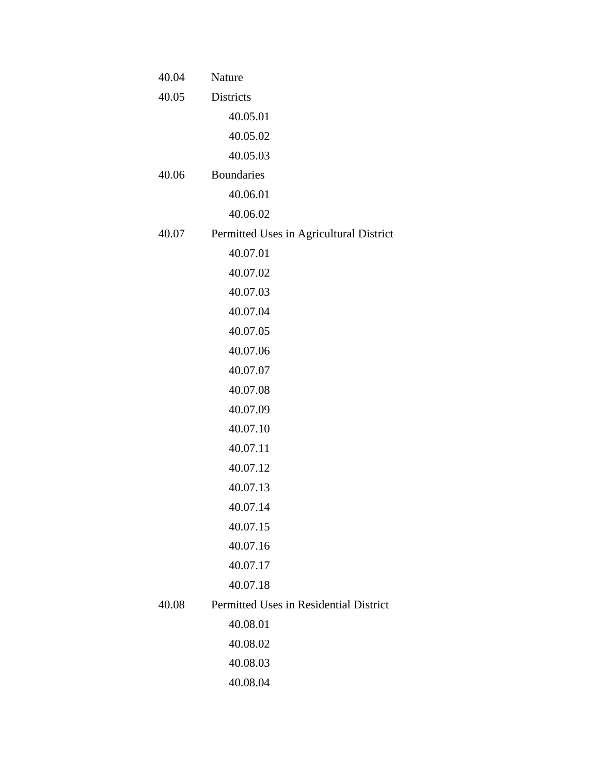| 40.04 | Nature                                  |
|-------|-----------------------------------------|
| 40.05 | Districts                               |
|       | 40.05.01                                |
|       | 40.05.02                                |
|       | 40.05.03                                |
| 40.06 | <b>Boundaries</b>                       |
|       | 40.06.01                                |
|       | 40.06.02                                |
| 40.07 | Permitted Uses in Agricultural District |
|       | 40.07.01                                |
|       | 40.07.02                                |
|       | 40.07.03                                |
|       | 40.07.04                                |
|       | 40.07.05                                |
|       | 40.07.06                                |
|       | 40.07.07                                |
|       | 40.07.08                                |
|       | 40.07.09                                |
|       | 40.07.10                                |
|       | 40.07.11                                |
|       | 40.07.12                                |
|       | 40.07.13                                |
|       | 40.07.14                                |
|       | 40.07.15                                |
|       | 40.07.16                                |
|       | 40.07.17                                |
|       | 40.07.18                                |
| 40.08 | Permitted Uses in Residential District  |
|       | 40.08.01                                |
|       | 40.08.02                                |
|       | 40.08.03                                |
|       | 40.08.04                                |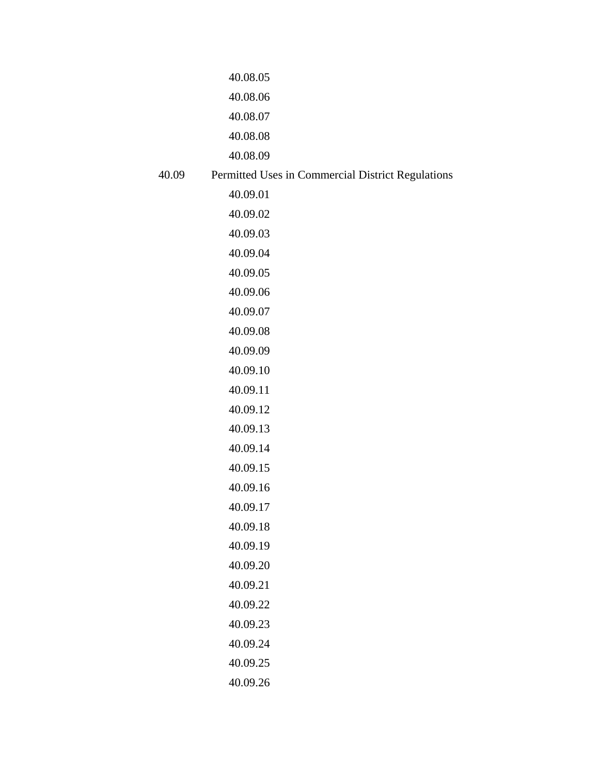|       | 40.08.05                                          |
|-------|---------------------------------------------------|
|       | 40.08.06                                          |
|       | 40.08.07                                          |
|       | 40.08.08                                          |
|       | 40.08.09                                          |
| 40.09 | Permitted Uses in Commercial District Regulations |
|       | 40.09.01                                          |
|       | 40.09.02                                          |
|       | 40.09.03                                          |
|       | 40.09.04                                          |
|       | 40.09.05                                          |
|       | 40.09.06                                          |
|       | 40.09.07                                          |
|       | 40.09.08                                          |
|       | 40.09.09                                          |
|       | 40.09.10                                          |
|       | 40.09.11                                          |
|       | 40.09.12                                          |
|       | 40.09.13                                          |
|       | 40.09.14                                          |
|       | 40.09.15                                          |
|       | 40.09.16                                          |
|       | 40.09.17                                          |
|       | 40.09.18                                          |
|       | 40.09.19                                          |
|       | 40.09.20                                          |
|       | 40.09.21                                          |
|       | 40.09.22                                          |
|       | 40.09.23                                          |
|       | 40.09.24                                          |
|       | 40.09.25                                          |
|       | 40.09.26                                          |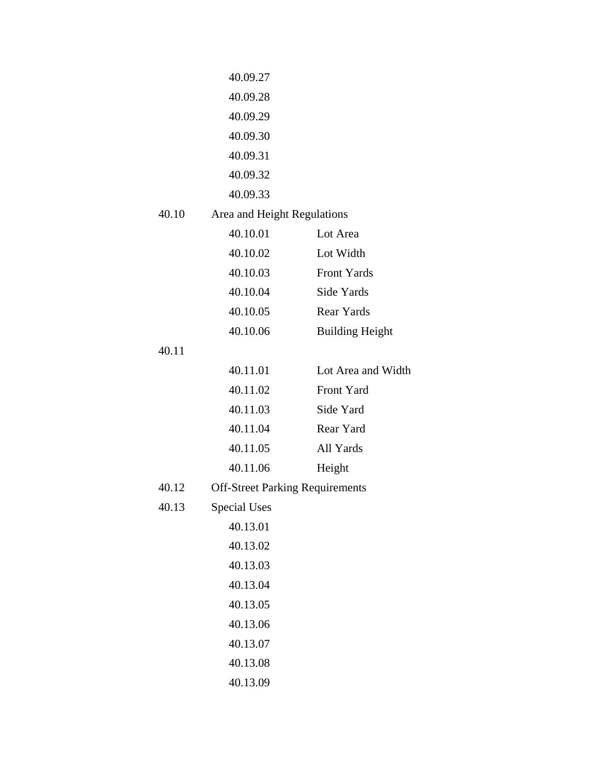|       | 40.09.27                               |                        |
|-------|----------------------------------------|------------------------|
|       | 40.09.28                               |                        |
|       | 40.09.29                               |                        |
|       | 40.09.30                               |                        |
|       | 40.09.31                               |                        |
|       | 40.09.32                               |                        |
|       | 40.09.33                               |                        |
| 40.10 | Area and Height Regulations            |                        |
|       | 40.10.01                               | Lot Area               |
|       | 40.10.02                               | Lot Width              |
|       | 40.10.03                               | Front Yards            |
|       | 40.10.04                               | Side Yards             |
|       | 40.10.05                               | Rear Yards             |
|       | 40.10.06                               | <b>Building Height</b> |
| 40.11 |                                        |                        |
|       | 40.11.01                               | Lot Area and Width     |
|       | 40.11.02                               | Front Yard             |
|       | 40.11.03                               | Side Yard              |
|       | 40.11.04                               | Rear Yard              |
|       | 40.11.05                               | All Yards              |
|       | 40.11.06                               | Height                 |
| 40.12 | <b>Off-Street Parking Requirements</b> |                        |
| 40.13 | <b>Special Uses</b>                    |                        |
|       | 40.13.01                               |                        |
|       | 40.13.02                               |                        |
|       | 40.13.03                               |                        |
|       | 40.13.04                               |                        |
|       | 40.13.05                               |                        |
|       | 40.13.06                               |                        |
|       | 40.13.07                               |                        |
|       | 40.13.08                               |                        |
|       | 40.13.09                               |                        |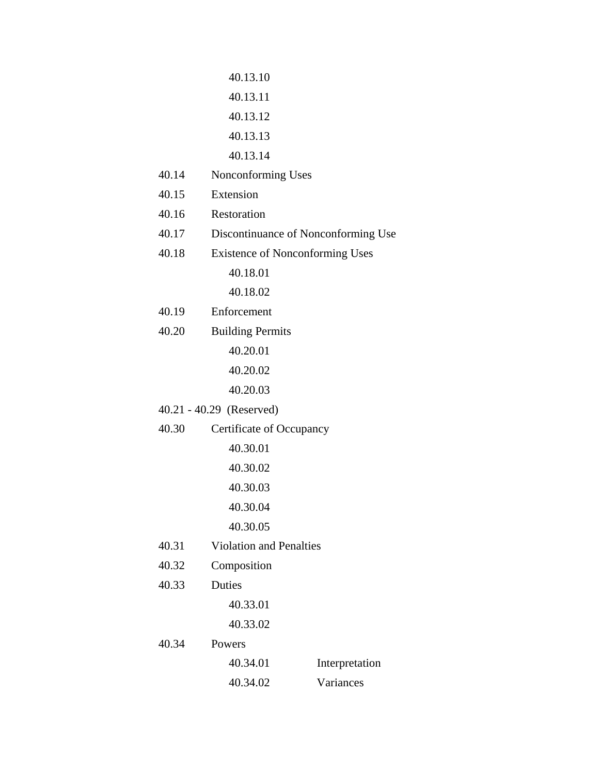|       | 40.13.10                               |                |
|-------|----------------------------------------|----------------|
|       | 40.13.11                               |                |
|       | 40.13.12                               |                |
|       | 40.13.13                               |                |
|       | 40.13.14                               |                |
| 40.14 | Nonconforming Uses                     |                |
| 40.15 | Extension                              |                |
| 40.16 | Restoration                            |                |
| 40.17 | Discontinuance of Nonconforming Use    |                |
| 40.18 | <b>Existence of Nonconforming Uses</b> |                |
|       | 40.18.01                               |                |
|       | 40.18.02                               |                |
| 40.19 | Enforcement                            |                |
| 40.20 | <b>Building Permits</b>                |                |
|       | 40.20.01                               |                |
|       | 40.20.02                               |                |
|       | 40.20.03                               |                |
|       | 40.21 - 40.29 (Reserved)               |                |
| 40.30 | Certificate of Occupancy               |                |
|       | 40.30.01                               |                |
|       | 40.30.02                               |                |
|       | 40.30.03                               |                |
|       | 40.30.04                               |                |
|       | 40.30.05                               |                |
| 40.31 | <b>Violation and Penalties</b>         |                |
| 40.32 | Composition                            |                |
| 40.33 | Duties                                 |                |
|       | 40.33.01                               |                |
|       | 40.33.02                               |                |
| 40.34 | Powers                                 |                |
|       | 40.34.01                               | Interpretation |
|       | 40.34.02                               | Variances      |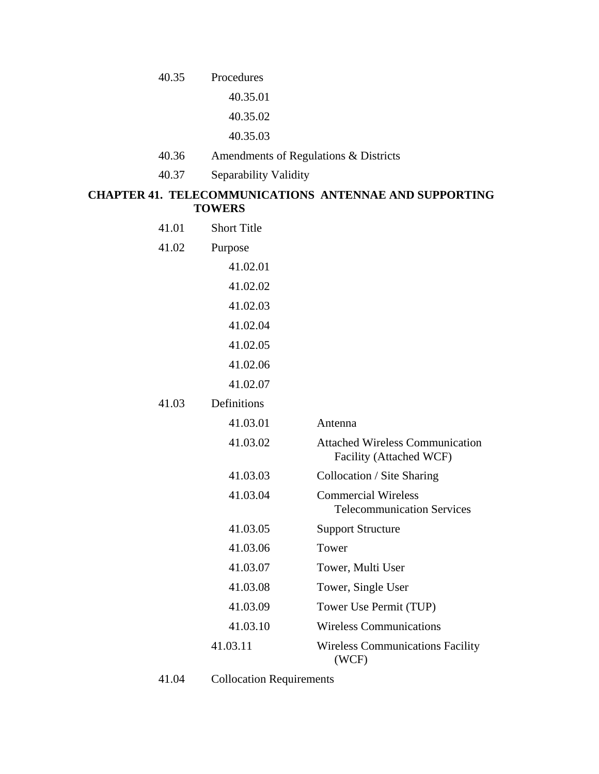40.35 Procedures

40.35.01

40.35.02

40.35.03

- 40.36 Amendments of Regulations & Districts
- 40.37 Separability Validity

# **CHAPTER 41. TELECOMMUNICATIONS ANTENNAE AND SUPPORTING TOWERS**

| 41.01 | <b>Short Title</b> |                                                                   |
|-------|--------------------|-------------------------------------------------------------------|
| 41.02 | Purpose            |                                                                   |
|       | 41.02.01           |                                                                   |
|       | 41.02.02           |                                                                   |
|       | 41.02.03           |                                                                   |
|       | 41.02.04           |                                                                   |
|       | 41.02.05           |                                                                   |
|       | 41.02.06           |                                                                   |
|       | 41.02.07           |                                                                   |
| 41.03 | Definitions        |                                                                   |
|       | 41.03.01           | Antenna                                                           |
|       | 41.03.02           | <b>Attached Wireless Communication</b><br>Facility (Attached WCF) |
|       | 41.03.03           | Collocation / Site Sharing                                        |
|       | 41.03.04           | <b>Commercial Wireless</b><br><b>Telecommunication Services</b>   |
|       | 41.03.05           | <b>Support Structure</b>                                          |
|       | 41.03.06           | Tower                                                             |
|       | 41.03.07           | Tower, Multi User                                                 |
|       | 41.03.08           | Tower, Single User                                                |
|       | 41.03.09           | Tower Use Permit (TUP)                                            |
|       | 41.03.10           | <b>Wireless Communications</b>                                    |
|       | 41.03.11           | <b>Wireless Communications Facility</b><br>(WCF)                  |

41.04 Collocation Requirements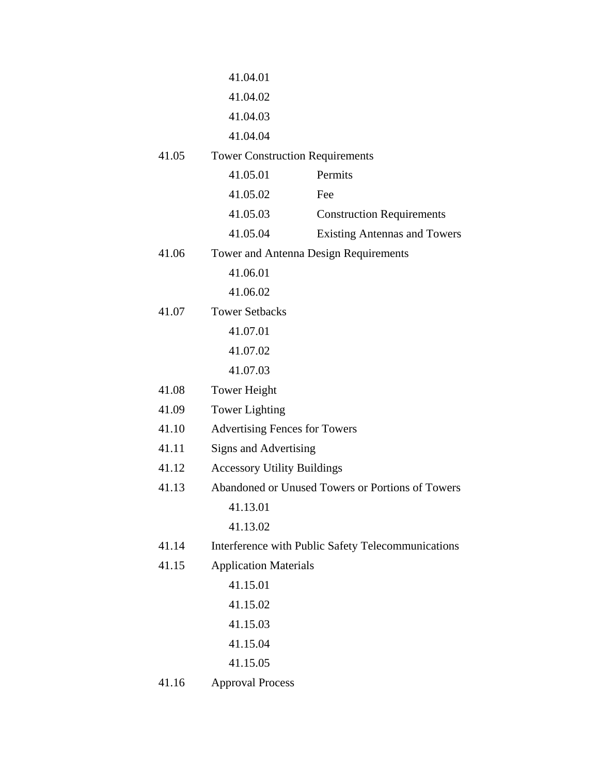|       | 41.04.01                               |                                                    |
|-------|----------------------------------------|----------------------------------------------------|
|       | 41.04.02                               |                                                    |
|       | 41.04.03                               |                                                    |
|       | 41.04.04                               |                                                    |
| 41.05 | <b>Tower Construction Requirements</b> |                                                    |
|       | 41.05.01                               | Permits                                            |
|       | 41.05.02                               | Fee                                                |
|       | 41.05.03                               | <b>Construction Requirements</b>                   |
|       | 41.05.04                               | <b>Existing Antennas and Towers</b>                |
| 41.06 |                                        | Tower and Antenna Design Requirements              |
|       | 41.06.01                               |                                                    |
|       | 41.06.02                               |                                                    |
| 41.07 | <b>Tower Setbacks</b>                  |                                                    |
|       | 41.07.01                               |                                                    |
|       | 41.07.02                               |                                                    |
|       | 41.07.03                               |                                                    |
| 41.08 | <b>Tower Height</b>                    |                                                    |
| 41.09 | <b>Tower Lighting</b>                  |                                                    |
| 41.10 | <b>Advertising Fences for Towers</b>   |                                                    |
| 41.11 | Signs and Advertising                  |                                                    |
| 41.12 | <b>Accessory Utility Buildings</b>     |                                                    |
| 41.13 |                                        | Abandoned or Unused Towers or Portions of Towers   |
|       | 41.13.01                               |                                                    |
|       | 41.13.02                               |                                                    |
| 41.14 |                                        | Interference with Public Safety Telecommunications |
| 41.15 | <b>Application Materials</b>           |                                                    |
|       | 41.15.01                               |                                                    |
|       | 41.15.02                               |                                                    |
|       | 41.15.03                               |                                                    |
|       | 41.15.04                               |                                                    |
|       | 41.15.05                               |                                                    |
| 41.16 | <b>Approval Process</b>                |                                                    |
|       |                                        |                                                    |